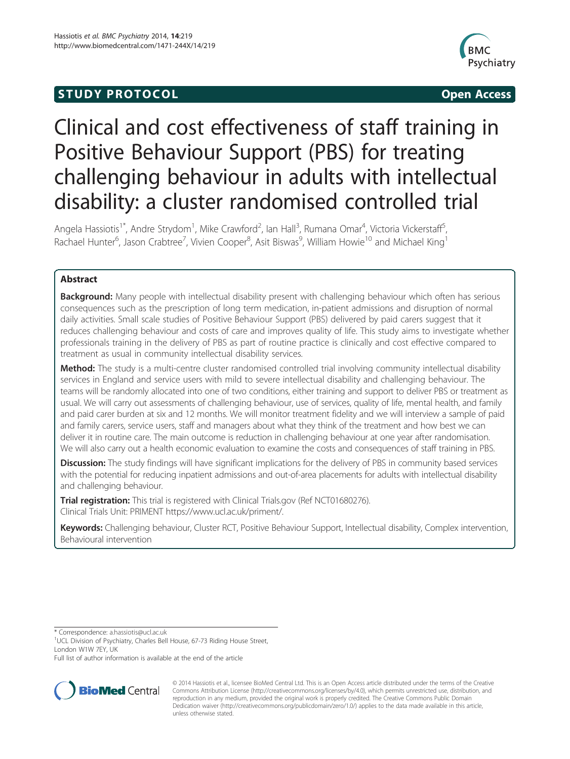# **STUDY PROTOCOL CONSUMING THE STUDY PROTOCOL**



# Clinical and cost effectiveness of staff training in Positive Behaviour Support (PBS) for treating challenging behaviour in adults with intellectual disability: a cluster randomised controlled trial

Angela Hassiotis<sup>1\*</sup>, Andre Strydom<sup>1</sup>, Mike Crawford<sup>2</sup>, Ian Hall<sup>3</sup>, Rumana Omar<sup>4</sup>, Victoria Vickerstaff<sup>5</sup> , Rachael Hunter<sup>6</sup>, Jason Crabtree<sup>7</sup>, Vivien Cooper<sup>8</sup>, Asit Biswas<sup>9</sup>, William Howie<sup>10</sup> and Michael King<sup>1</sup>

# Abstract

Background: Many people with intellectual disability present with challenging behaviour which often has serious consequences such as the prescription of long term medication, in-patient admissions and disruption of normal daily activities. Small scale studies of Positive Behaviour Support (PBS) delivered by paid carers suggest that it reduces challenging behaviour and costs of care and improves quality of life. This study aims to investigate whether professionals training in the delivery of PBS as part of routine practice is clinically and cost effective compared to treatment as usual in community intellectual disability services.

Method: The study is a multi-centre cluster randomised controlled trial involving community intellectual disability services in England and service users with mild to severe intellectual disability and challenging behaviour. The teams will be randomly allocated into one of two conditions, either training and support to deliver PBS or treatment as usual. We will carry out assessments of challenging behaviour, use of services, quality of life, mental health, and family and paid carer burden at six and 12 months. We will monitor treatment fidelity and we will interview a sample of paid and family carers, service users, staff and managers about what they think of the treatment and how best we can deliver it in routine care. The main outcome is reduction in challenging behaviour at one year after randomisation. We will also carry out a health economic evaluation to examine the costs and consequences of staff training in PBS.

Discussion: The study findings will have significant implications for the delivery of PBS in community based services with the potential for reducing inpatient admissions and out-of-area placements for adults with intellectual disability and challenging behaviour.

Trial registration: This trial is registered with Clinical Trials.gov (Ref [NCT01680276\)](http://clinicaltrials.gov/show/NCT01680276). Clinical Trials Unit: PRIMENT [https://www.ucl.ac.uk/priment/.](https://www.ucl.ac.uk/priment/)

Keywords: Challenging behaviour, Cluster RCT, Positive Behaviour Support, Intellectual disability, Complex intervention, Behavioural intervention

\* Correspondence: [a.hassiotis@ucl.ac.uk](mailto:a.hassiotis@ucl.ac.uk) <sup>1</sup>

Full list of author information is available at the end of the article



© 2014 Hassiotis et al., licensee BioMed Central Ltd. This is an Open Access article distributed under the terms of the Creative Commons Attribution License (http://creativecommons.org/licenses/by/4.0), which permits unrestricted use, distribution, and reproduction in any medium, provided the original work is properly credited. The Creative Commons Public Domain Dedication waiver (http://creativecommons.org/publicdomain/zero/1.0/) applies to the data made available in this article, unless otherwise stated.

<sup>&</sup>lt;sup>1</sup>UCL Division of Psychiatry, Charles Bell House, 67-73 Riding House Street, London W1W 7EY, UK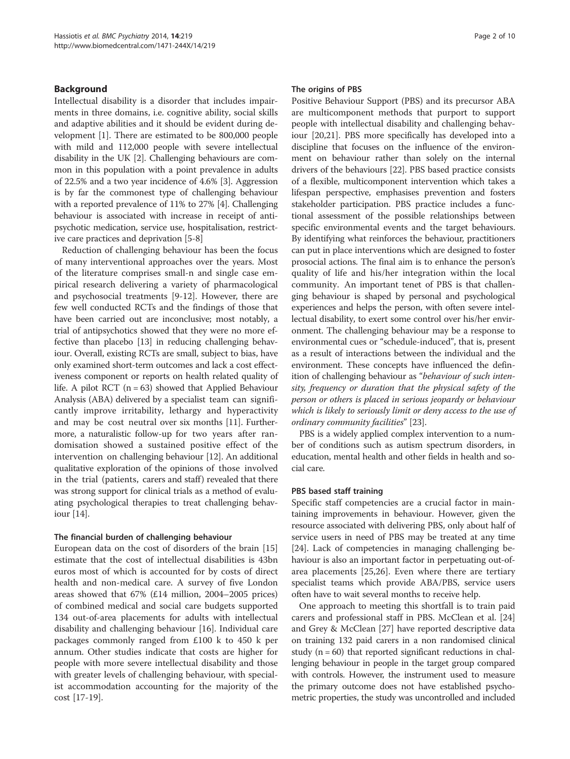# Background

Intellectual disability is a disorder that includes impairments in three domains, i.e. cognitive ability, social skills and adaptive abilities and it should be evident during development [[1\]](#page-8-0). There are estimated to be 800,000 people with mild and 112,000 people with severe intellectual disability in the UK [[2\]](#page-8-0). Challenging behaviours are common in this population with a point prevalence in adults of 22.5% and a two year incidence of 4.6% [\[3](#page-8-0)]. Aggression is by far the commonest type of challenging behaviour with a reported prevalence of 11% to 27% [\[4\]](#page-8-0). Challenging behaviour is associated with increase in receipt of antipsychotic medication, service use, hospitalisation, restrictive care practices and deprivation [\[5-8](#page-8-0)]

Reduction of challenging behaviour has been the focus of many interventional approaches over the years. Most of the literature comprises small-n and single case empirical research delivering a variety of pharmacological and psychosocial treatments [[9-12\]](#page-8-0). However, there are few well conducted RCTs and the findings of those that have been carried out are inconclusive; most notably, a trial of antipsychotics showed that they were no more effective than placebo [\[13](#page-8-0)] in reducing challenging behaviour. Overall, existing RCTs are small, subject to bias, have only examined short-term outcomes and lack a cost effectiveness component or reports on health related quality of life. A pilot RCT ( $n = 63$ ) showed that Applied Behaviour Analysis (ABA) delivered by a specialist team can significantly improve irritability, lethargy and hyperactivity and may be cost neutral over six months [\[11\]](#page-8-0). Furthermore, a naturalistic follow-up for two years after randomisation showed a sustained positive effect of the intervention on challenging behaviour [\[12](#page-8-0)]. An additional qualitative exploration of the opinions of those involved in the trial (patients, carers and staff) revealed that there was strong support for clinical trials as a method of evaluating psychological therapies to treat challenging behaviour [[14](#page-8-0)].

## The financial burden of challenging behaviour

European data on the cost of disorders of the brain [[15](#page-8-0)] estimate that the cost of intellectual disabilities is 43bn euros most of which is accounted for by costs of direct health and non-medical care. A survey of five London areas showed that 67% (£14 million, 2004–2005 prices) of combined medical and social care budgets supported 134 out-of-area placements for adults with intellectual disability and challenging behaviour [[16\]](#page-8-0). Individual care packages commonly ranged from £100 k to 450 k per annum. Other studies indicate that costs are higher for people with more severe intellectual disability and those with greater levels of challenging behaviour, with specialist accommodation accounting for the majority of the cost [\[17](#page-8-0)-[19\]](#page-8-0).

#### The origins of PBS

Positive Behaviour Support (PBS) and its precursor ABA are multicomponent methods that purport to support people with intellectual disability and challenging behaviour [[20,21\]](#page-8-0). PBS more specifically has developed into a discipline that focuses on the influence of the environment on behaviour rather than solely on the internal drivers of the behaviours [\[22](#page-8-0)]. PBS based practice consists of a flexible, multicomponent intervention which takes a lifespan perspective, emphasises prevention and fosters stakeholder participation. PBS practice includes a functional assessment of the possible relationships between specific environmental events and the target behaviours. By identifying what reinforces the behaviour, practitioners can put in place interventions which are designed to foster prosocial actions. The final aim is to enhance the person's quality of life and his/her integration within the local community. An important tenet of PBS is that challenging behaviour is shaped by personal and psychological experiences and helps the person, with often severe intellectual disability, to exert some control over his/her environment. The challenging behaviour may be a response to environmental cues or "schedule-induced", that is, present as a result of interactions between the individual and the environment. These concepts have influenced the definition of challenging behaviour as "behaviour of such intensity, frequency or duration that the physical safety of the person or others is placed in serious jeopardy or behaviour which is likely to seriously limit or deny access to the use of ordinary community facilities" [\[23\]](#page-8-0).

PBS is a widely applied complex intervention to a number of conditions such as autism spectrum disorders, in education, mental health and other fields in health and social care.

## PBS based staff training

Specific staff competencies are a crucial factor in maintaining improvements in behaviour. However, given the resource associated with delivering PBS, only about half of service users in need of PBS may be treated at any time [[24](#page-8-0)]. Lack of competencies in managing challenging behaviour is also an important factor in perpetuating out-ofarea placements [[25,26\]](#page-8-0). Even where there are tertiary specialist teams which provide ABA/PBS, service users often have to wait several months to receive help.

One approach to meeting this shortfall is to train paid carers and professional staff in PBS. McClean et al. [[24](#page-8-0)] and Grey & McClean [[27\]](#page-8-0) have reported descriptive data on training 132 paid carers in a non randomised clinical study  $(n = 60)$  that reported significant reductions in challenging behaviour in people in the target group compared with controls. However, the instrument used to measure the primary outcome does not have established psychometric properties, the study was uncontrolled and included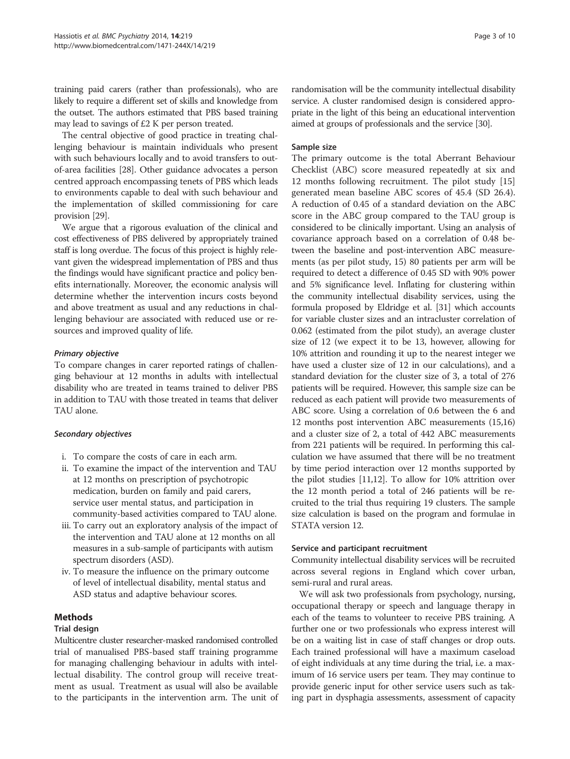training paid carers (rather than professionals), who are likely to require a different set of skills and knowledge from the outset. The authors estimated that PBS based training may lead to savings of £2 K per person treated.

The central objective of good practice in treating challenging behaviour is maintain individuals who present with such behaviours locally and to avoid transfers to outof-area facilities [\[28](#page-8-0)]. Other guidance advocates a person centred approach encompassing tenets of PBS which leads to environments capable to deal with such behaviour and the implementation of skilled commissioning for care provision [[29](#page-8-0)].

We argue that a rigorous evaluation of the clinical and cost effectiveness of PBS delivered by appropriately trained staff is long overdue. The focus of this project is highly relevant given the widespread implementation of PBS and thus the findings would have significant practice and policy benefits internationally. Moreover, the economic analysis will determine whether the intervention incurs costs beyond and above treatment as usual and any reductions in challenging behaviour are associated with reduced use or resources and improved quality of life.

# Primary objective

To compare changes in carer reported ratings of challenging behaviour at 12 months in adults with intellectual disability who are treated in teams trained to deliver PBS in addition to TAU with those treated in teams that deliver TAU alone.

# Secondary objectives

- i. To compare the costs of care in each arm.
- ii. To examine the impact of the intervention and TAU at 12 months on prescription of psychotropic medication, burden on family and paid carers, service user mental status, and participation in community-based activities compared to TAU alone.
- iii. To carry out an exploratory analysis of the impact of the intervention and TAU alone at 12 months on all measures in a sub-sample of participants with autism spectrum disorders (ASD).
- iv. To measure the influence on the primary outcome of level of intellectual disability, mental status and ASD status and adaptive behaviour scores.

# Methods

# Trial design

Multicentre cluster researcher-masked randomised controlled trial of manualised PBS-based staff training programme for managing challenging behaviour in adults with intellectual disability. The control group will receive treatment as usual. Treatment as usual will also be available to the participants in the intervention arm. The unit of

randomisation will be the community intellectual disability service. A cluster randomised design is considered appropriate in the light of this being an educational intervention aimed at groups of professionals and the service [[30](#page-8-0)].

# Sample size

The primary outcome is the total Aberrant Behaviour Checklist (ABC) score measured repeatedly at six and 12 months following recruitment. The pilot study [[15](#page-8-0)] generated mean baseline ABC scores of 45.4 (SD 26.4). A reduction of 0.45 of a standard deviation on the ABC score in the ABC group compared to the TAU group is considered to be clinically important. Using an analysis of covariance approach based on a correlation of 0.48 between the baseline and post-intervention ABC measurements (as per pilot study, 15) 80 patients per arm will be required to detect a difference of 0.45 SD with 90% power and 5% significance level. Inflating for clustering within the community intellectual disability services, using the formula proposed by Eldridge et al. [[31](#page-8-0)] which accounts for variable cluster sizes and an intracluster correlation of 0.062 (estimated from the pilot study), an average cluster size of 12 (we expect it to be 13, however, allowing for 10% attrition and rounding it up to the nearest integer we have used a cluster size of 12 in our calculations), and a standard deviation for the cluster size of 3, a total of 276 patients will be required. However, this sample size can be reduced as each patient will provide two measurements of ABC score. Using a correlation of 0.6 between the 6 and 12 months post intervention ABC measurements (15,16) and a cluster size of 2, a total of 442 ABC measurements from 221 patients will be required. In performing this calculation we have assumed that there will be no treatment by time period interaction over 12 months supported by the pilot studies [\[11,12\]](#page-8-0). To allow for 10% attrition over the 12 month period a total of 246 patients will be recruited to the trial thus requiring 19 clusters. The sample size calculation is based on the program and formulae in STATA version 12.

# Service and participant recruitment

Community intellectual disability services will be recruited across several regions in England which cover urban, semi-rural and rural areas.

We will ask two professionals from psychology, nursing, occupational therapy or speech and language therapy in each of the teams to volunteer to receive PBS training. A further one or two professionals who express interest will be on a waiting list in case of staff changes or drop outs. Each trained professional will have a maximum caseload of eight individuals at any time during the trial, i.e. a maximum of 16 service users per team. They may continue to provide generic input for other service users such as taking part in dysphagia assessments, assessment of capacity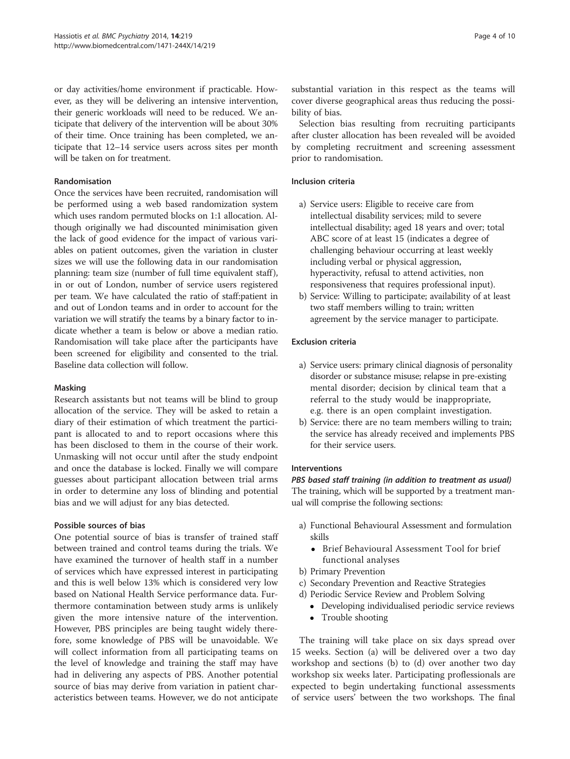or day activities/home environment if practicable. However, as they will be delivering an intensive intervention, their generic workloads will need to be reduced. We anticipate that delivery of the intervention will be about 30% of their time. Once training has been completed, we anticipate that 12–14 service users across sites per month will be taken on for treatment.

# Randomisation

Once the services have been recruited, randomisation will be performed using a web based randomization system which uses random permuted blocks on 1:1 allocation. Although originally we had discounted minimisation given the lack of good evidence for the impact of various variables on patient outcomes, given the variation in cluster sizes we will use the following data in our randomisation planning: team size (number of full time equivalent staff), in or out of London, number of service users registered per team. We have calculated the ratio of staff:patient in and out of London teams and in order to account for the variation we will stratify the teams by a binary factor to indicate whether a team is below or above a median ratio. Randomisation will take place after the participants have been screened for eligibility and consented to the trial. Baseline data collection will follow.

## Masking

Research assistants but not teams will be blind to group allocation of the service. They will be asked to retain a diary of their estimation of which treatment the participant is allocated to and to report occasions where this has been disclosed to them in the course of their work. Unmasking will not occur until after the study endpoint and once the database is locked. Finally we will compare guesses about participant allocation between trial arms in order to determine any loss of blinding and potential bias and we will adjust for any bias detected.

## Possible sources of bias

One potential source of bias is transfer of trained staff between trained and control teams during the trials. We have examined the turnover of health staff in a number of services which have expressed interest in participating and this is well below 13% which is considered very low based on National Health Service performance data. Furthermore contamination between study arms is unlikely given the more intensive nature of the intervention. However, PBS principles are being taught widely therefore, some knowledge of PBS will be unavoidable. We will collect information from all participating teams on the level of knowledge and training the staff may have had in delivering any aspects of PBS. Another potential source of bias may derive from variation in patient characteristics between teams. However, we do not anticipate

substantial variation in this respect as the teams will cover diverse geographical areas thus reducing the possibility of bias.

Selection bias resulting from recruiting participants after cluster allocation has been revealed will be avoided by completing recruitment and screening assessment prior to randomisation.

# Inclusion criteria

- a) Service users: Eligible to receive care from intellectual disability services; mild to severe intellectual disability; aged 18 years and over; total ABC score of at least 15 (indicates a degree of challenging behaviour occurring at least weekly including verbal or physical aggression, hyperactivity, refusal to attend activities, non responsiveness that requires professional input).
- b) Service: Willing to participate; availability of at least two staff members willing to train; written agreement by the service manager to participate.

# Exclusion criteria

- a) Service users: primary clinical diagnosis of personality disorder or substance misuse; relapse in pre-existing mental disorder; decision by clinical team that a referral to the study would be inappropriate, e.g. there is an open complaint investigation.
- b) Service: there are no team members willing to train; the service has already received and implements PBS for their service users.

## Interventions

PBS based staff training (in addition to treatment as usual) The training, which will be supported by a treatment manual will comprise the following sections:

- a) Functional Behavioural Assessment and formulation skills
	- Brief Behavioural Assessment Tool for brief functional analyses
- b) Primary Prevention
- c) Secondary Prevention and Reactive Strategies
- d) Periodic Service Review and Problem Solving
	- Developing individualised periodic service reviews
	- Trouble shooting

The training will take place on six days spread over 15 weeks. Section (a) will be delivered over a two day workshop and sections (b) to (d) over another two day workshop six weeks later. Participating proflessionals are expected to begin undertaking functional assessments of service users' between the two workshops. The final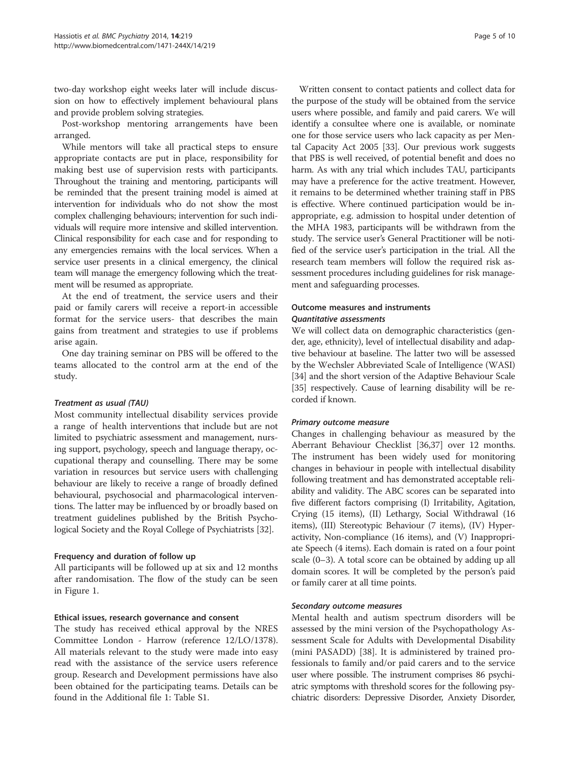two-day workshop eight weeks later will include discussion on how to effectively implement behavioural plans and provide problem solving strategies.

Post-workshop mentoring arrangements have been arranged.

While mentors will take all practical steps to ensure appropriate contacts are put in place, responsibility for making best use of supervision rests with participants. Throughout the training and mentoring, participants will be reminded that the present training model is aimed at intervention for individuals who do not show the most complex challenging behaviours; intervention for such individuals will require more intensive and skilled intervention. Clinical responsibility for each case and for responding to any emergencies remains with the local services. When a service user presents in a clinical emergency, the clinical team will manage the emergency following which the treatment will be resumed as appropriate.

At the end of treatment, the service users and their paid or family carers will receive a report-in accessible format for the service users- that describes the main gains from treatment and strategies to use if problems arise again.

One day training seminar on PBS will be offered to the teams allocated to the control arm at the end of the study.

# Treatment as usual (TAU)

Most community intellectual disability services provide a range of health interventions that include but are not limited to psychiatric assessment and management, nursing support, psychology, speech and language therapy, occupational therapy and counselling. There may be some variation in resources but service users with challenging behaviour are likely to receive a range of broadly defined behavioural, psychosocial and pharmacological interventions. The latter may be influenced by or broadly based on treatment guidelines published by the British Psychological Society and the Royal College of Psychiatrists [\[32](#page-8-0)].

# Frequency and duration of follow up

All participants will be followed up at six and 12 months after randomisation. The flow of the study can be seen in Figure [1](#page-5-0).

# Ethical issues, research governance and consent

The study has received ethical approval by the NRES Committee London - Harrow (reference 12/LO/1378). All materials relevant to the study were made into easy read with the assistance of the service users reference group. Research and Development permissions have also been obtained for the participating teams. Details can be found in the Additional file [1:](#page-7-0) Table S1.

Written consent to contact patients and collect data for the purpose of the study will be obtained from the service users where possible, and family and paid carers. We will identify a consultee where one is available, or nominate one for those service users who lack capacity as per Mental Capacity Act 2005 [[33](#page-8-0)]. Our previous work suggests that PBS is well received, of potential benefit and does no harm. As with any trial which includes TAU, participants may have a preference for the active treatment. However, it remains to be determined whether training staff in PBS is effective. Where continued participation would be inappropriate, e.g. admission to hospital under detention of the MHA 1983, participants will be withdrawn from the study. The service user's General Practitioner will be notified of the service user's participation in the trial. All the research team members will follow the required risk assessment procedures including guidelines for risk management and safeguarding processes.

# Outcome measures and instruments

# Quantitative assessments

We will collect data on demographic characteristics (gender, age, ethnicity), level of intellectual disability and adaptive behaviour at baseline. The latter two will be assessed by the Wechsler Abbreviated Scale of Intelligence (WASI) [[34](#page-8-0)] and the short version of the Adaptive Behaviour Scale [[35](#page-8-0)] respectively. Cause of learning disability will be recorded if known.

## Primary outcome measure

Changes in challenging behaviour as measured by the Aberrant Behaviour Checklist [\[36,37](#page-8-0)] over 12 months. The instrument has been widely used for monitoring changes in behaviour in people with intellectual disability following treatment and has demonstrated acceptable reliability and validity. The ABC scores can be separated into five different factors comprising (I) Irritability, Agitation, Crying (15 items), (II) Lethargy, Social Withdrawal (16 items), (III) Stereotypic Behaviour (7 items), (IV) Hyperactivity, Non-compliance (16 items), and (V) Inappropriate Speech (4 items). Each domain is rated on a four point scale (0–3). A total score can be obtained by adding up all domain scores. It will be completed by the person's paid or family carer at all time points.

## Secondary outcome measures

Mental health and autism spectrum disorders will be assessed by the mini version of the Psychopathology Assessment Scale for Adults with Developmental Disability (mini PASADD) [[38\]](#page-8-0). It is administered by trained professionals to family and/or paid carers and to the service user where possible. The instrument comprises 86 psychiatric symptoms with threshold scores for the following psychiatric disorders: Depressive Disorder, Anxiety Disorder,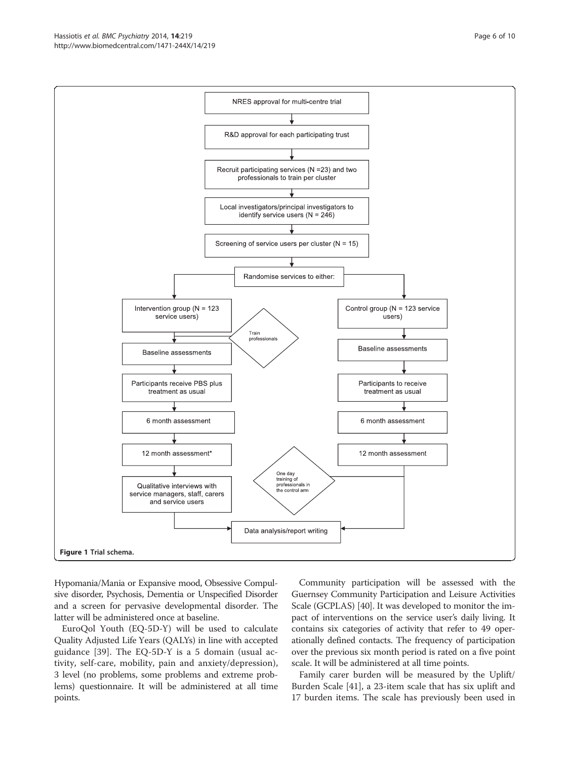Hypomania/Mania or Expansive mood, Obsessive Compulsive disorder, Psychosis, Dementia or Unspecified Disorder and a screen for pervasive developmental disorder. The latter will be administered once at baseline.

EuroQol Youth (EQ-5D-Y) will be used to calculate Quality Adjusted Life Years (QALYs) in line with accepted guidance [\[39](#page-8-0)]. The EQ-5D-Y is a 5 domain (usual activity, self-care, mobility, pain and anxiety/depression), 3 level (no problems, some problems and extreme problems) questionnaire. It will be administered at all time points.

Community participation will be assessed with the Guernsey Community Participation and Leisure Activities Scale (GCPLAS) [[40](#page-8-0)]. It was developed to monitor the impact of interventions on the service user's daily living. It contains six categories of activity that refer to 49 operationally defined contacts. The frequency of participation over the previous six month period is rated on a five point scale. It will be administered at all time points.

Family carer burden will be measured by the Uplift/ Burden Scale [[41\]](#page-9-0), a 23-item scale that has six uplift and 17 burden items. The scale has previously been used in

<span id="page-5-0"></span>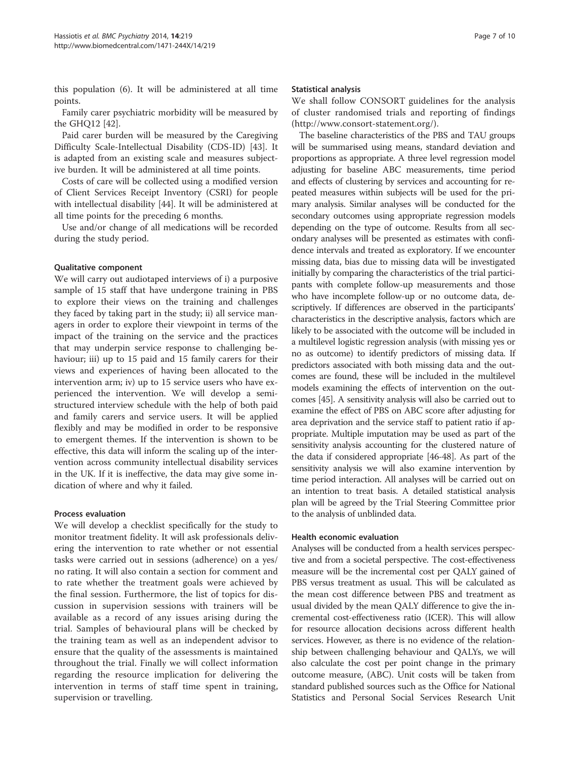this population (6). It will be administered at all time points.

Family carer psychiatric morbidity will be measured by the GHQ12 [[42\]](#page-9-0).

Paid carer burden will be measured by the Caregiving Difficulty Scale-Intellectual Disability (CDS-ID) [\[43](#page-9-0)]. It is adapted from an existing scale and measures subjective burden. It will be administered at all time points.

Costs of care will be collected using a modified version of Client Services Receipt Inventory (CSRI) for people with intellectual disability [[44](#page-9-0)]. It will be administered at all time points for the preceding 6 months.

Use and/or change of all medications will be recorded during the study period.

# Qualitative component

We will carry out audiotaped interviews of i) a purposive sample of 15 staff that have undergone training in PBS to explore their views on the training and challenges they faced by taking part in the study; ii) all service managers in order to explore their viewpoint in terms of the impact of the training on the service and the practices that may underpin service response to challenging behaviour; iii) up to 15 paid and 15 family carers for their views and experiences of having been allocated to the intervention arm; iv) up to 15 service users who have experienced the intervention. We will develop a semistructured interview schedule with the help of both paid and family carers and service users. It will be applied flexibly and may be modified in order to be responsive to emergent themes. If the intervention is shown to be effective, this data will inform the scaling up of the intervention across community intellectual disability services in the UK. If it is ineffective, the data may give some indication of where and why it failed.

## Process evaluation

We will develop a checklist specifically for the study to monitor treatment fidelity. It will ask professionals delivering the intervention to rate whether or not essential tasks were carried out in sessions (adherence) on a yes/ no rating. It will also contain a section for comment and to rate whether the treatment goals were achieved by the final session. Furthermore, the list of topics for discussion in supervision sessions with trainers will be available as a record of any issues arising during the trial. Samples of behavioural plans will be checked by the training team as well as an independent advisor to ensure that the quality of the assessments is maintained throughout the trial. Finally we will collect information regarding the resource implication for delivering the intervention in terms of staff time spent in training, supervision or travelling.

# Statistical analysis

We shall follow CONSORT guidelines for the analysis of cluster randomised trials and reporting of findings (<http://www.consort-statement.org/>).

The baseline characteristics of the PBS and TAU groups will be summarised using means, standard deviation and proportions as appropriate. A three level regression model adjusting for baseline ABC measurements, time period and effects of clustering by services and accounting for repeated measures within subjects will be used for the primary analysis. Similar analyses will be conducted for the secondary outcomes using appropriate regression models depending on the type of outcome. Results from all secondary analyses will be presented as estimates with confidence intervals and treated as exploratory. If we encounter missing data, bias due to missing data will be investigated initially by comparing the characteristics of the trial participants with complete follow-up measurements and those who have incomplete follow-up or no outcome data, descriptively. If differences are observed in the participants' characteristics in the descriptive analysis, factors which are likely to be associated with the outcome will be included in a multilevel logistic regression analysis (with missing yes or no as outcome) to identify predictors of missing data. If predictors associated with both missing data and the outcomes are found, these will be included in the multilevel models examining the effects of intervention on the outcomes [[45](#page-9-0)]. A sensitivity analysis will also be carried out to examine the effect of PBS on ABC score after adjusting for area deprivation and the service staff to patient ratio if appropriate. Multiple imputation may be used as part of the sensitivity analysis accounting for the clustered nature of the data if considered appropriate [\[46-48\]](#page-9-0). As part of the sensitivity analysis we will also examine intervention by time period interaction. All analyses will be carried out on an intention to treat basis. A detailed statistical analysis plan will be agreed by the Trial Steering Committee prior to the analysis of unblinded data.

## Health economic evaluation

Analyses will be conducted from a health services perspective and from a societal perspective. The cost-effectiveness measure will be the incremental cost per QALY gained of PBS versus treatment as usual. This will be calculated as the mean cost difference between PBS and treatment as usual divided by the mean QALY difference to give the incremental cost-effectiveness ratio (ICER). This will allow for resource allocation decisions across different health services. However, as there is no evidence of the relationship between challenging behaviour and QALYs, we will also calculate the cost per point change in the primary outcome measure, (ABC). Unit costs will be taken from standard published sources such as the Office for National Statistics and Personal Social Services Research Unit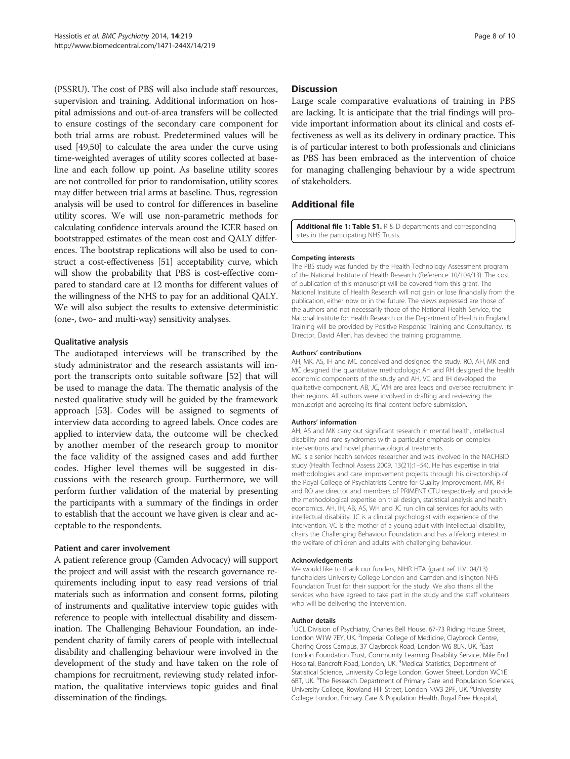<span id="page-7-0"></span>(PSSRU). The cost of PBS will also include staff resources, supervision and training. Additional information on hospital admissions and out-of-area transfers will be collected to ensure costings of the secondary care component for both trial arms are robust. Predetermined values will be used [\[49,50](#page-9-0)] to calculate the area under the curve using time-weighted averages of utility scores collected at baseline and each follow up point. As baseline utility scores are not controlled for prior to randomisation, utility scores may differ between trial arms at baseline. Thus, regression analysis will be used to control for differences in baseline utility scores. We will use non-parametric methods for calculating confidence intervals around the ICER based on bootstrapped estimates of the mean cost and QALY differences. The bootstrap replications will also be used to construct a cost-effectiveness [\[51\]](#page-9-0) acceptability curve, which will show the probability that PBS is cost-effective compared to standard care at 12 months for different values of the willingness of the NHS to pay for an additional QALY. We will also subject the results to extensive deterministic (one-, two- and multi-way) sensitivity analyses.

# Qualitative analysis

The audiotaped interviews will be transcribed by the study administrator and the research assistants will import the transcripts onto suitable software [[52](#page-9-0)] that will be used to manage the data. The thematic analysis of the nested qualitative study will be guided by the framework approach [\[53\]](#page-9-0). Codes will be assigned to segments of interview data according to agreed labels. Once codes are applied to interview data, the outcome will be checked by another member of the research group to monitor the face validity of the assigned cases and add further codes. Higher level themes will be suggested in discussions with the research group. Furthermore, we will perform further validation of the material by presenting the participants with a summary of the findings in order to establish that the account we have given is clear and acceptable to the respondents.

# Patient and carer involvement

A patient reference group (Camden Advocacy) will support the project and will assist with the research governance requirements including input to easy read versions of trial materials such as information and consent forms, piloting of instruments and qualitative interview topic guides with reference to people with intellectual disability and dissemination. The Challenging Behaviour Foundation, an independent charity of family carers of people with intellectual disability and challenging behaviour were involved in the development of the study and have taken on the role of champions for recruitment, reviewing study related information, the qualitative interviews topic guides and final dissemination of the findings.

# Discussion

Large scale comparative evaluations of training in PBS are lacking. It is anticipate that the trial findings will provide important information about its clinical and costs effectiveness as well as its delivery in ordinary practice. This is of particular interest to both professionals and clinicians as PBS has been embraced as the intervention of choice for managing challenging behaviour by a wide spectrum of stakeholders.

# Additional file

[Additional file 1: Table S1.](http://www.biomedcentral.com/content/supplementary/12888_2014_219_MOESM1_ESM.docx) R & D departments and corresponding sites in the participating NHS Trusts.

## Competing interests

The PBS study was funded by the Health Technology Assessment program of the National Institute of Health Research (Reference 10/104/13). The cost of publication of this manuscript will be covered from this grant. The National Institute of Health Research will not gain or lose financially from the publication, either now or in the future. The views expressed are those of the authors and not necessarily those of the National Health Service, the National Institute for Health Research or the Department of Health in England. Training will be provided by Positive Response Training and Consultancy. Its Director, David Allen, has devised the training programme.

#### Authors' contributions

AH, MK, AS, IH and MC conceived and designed the study. RO, AH, MK and MC designed the quantitative methodology; AH and RH designed the health economic components of the study and AH, VC and IH developed the qualitative component. AB, JC, WH are area leads and oversee recruitment in their regions. All authors were involved in drafting and reviewing the manuscript and agreeing its final content before submission.

#### Authors' information

AH, AS and MK carry out significant research in mental health, intellectual disability and rare syndromes with a particular emphasis on complex interventions and novel pharmacological treatments. MC is a senior health services researcher and was involved in the NACHBID study (Health Technol Assess 2009, 13(21):1–54). He has expertise in trial methodologies and care improvement projects through his directorship of the Royal College of Psychiatrists Centre for Quality Improvement. MK, RH and RO are director and members of PRIMENT CTU respectively and provide the methodological expertise on trial design, statistical analysis and health economics. AH, IH, AB, AS, WH and JC run clinical services for adults with intellectual disability. JC is a clinical psychologist with experience of the intervention. VC is the mother of a young adult with intellectual disability, chairs the Challenging Behaviour Foundation and has a lifelong interest in the welfare of children and adults with challenging behaviour.

#### Acknowledgements

We would like to thank our funders, NIHR HTA (grant ref 10/104/13) fundholders University College London and Camden and Islington NHS Foundation Trust for their support for the study. We also thank all the services who have agreed to take part in the study and the staff volunteers who will be delivering the intervention.

#### Author details

<sup>1</sup>UCL Division of Psychiatry, Charles Bell House, 67-73 Riding House Street, London W1W 7EY, UK. <sup>2</sup>Imperial College of Medicine, Claybrook Centre, Charing Cross Campus, 37 Claybrook Road, London W6 8LN, UK. <sup>3</sup>East London Foundation Trust, Community Learning Disability Service, Mile End Hospital, Bancroft Road, London, UK.<sup>4</sup>Medical Statistics, Department of Statistical Science, University College London, Gower Street, London WC1E 6BT, UK. <sup>5</sup>The Research Department of Primary Care and Population Sciences University College, Rowland Hill Street, London NW3 2PF, UK. <sup>6</sup>University College London, Primary Care & Population Health, Royal Free Hospital,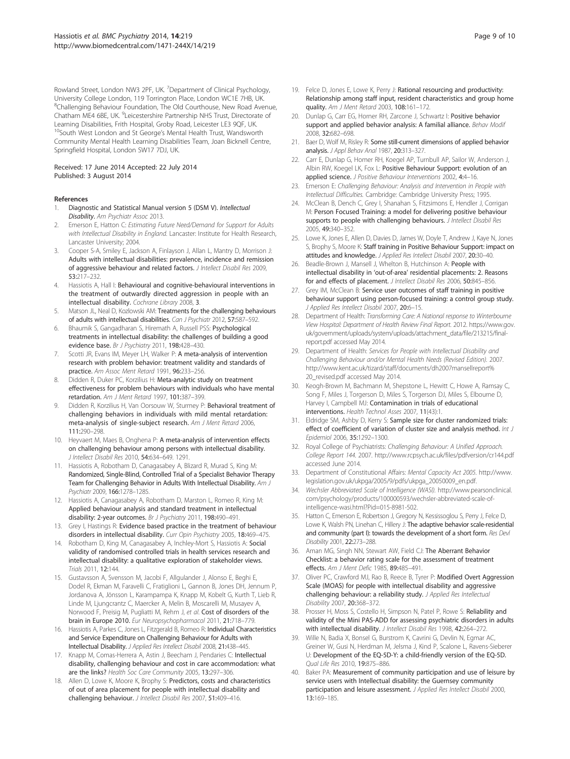<span id="page-8-0"></span>Rowland Street, London NW3 2PF, UK. <sup>7</sup>Department of Clinical Psychology, University College London, 119 Torrington Place, London WC1E 7HB, UK. <sup>8</sup>Challenging Behaviour Foundation, The Old Courthouse, New Road Avenue, Chatham ME4 6BE, UK. <sup>9</sup>Leicestershire Partnership NHS Trust, Directorate of Learning Disabilities, Frith Hospital, Groby Road, Leicester LE3 9QF, UK. <sup>10</sup>South West London and St George's Mental Health Trust, Wandsworth Community Mental Health Learning Disabilities Team, Joan Bicknell Centre, Springfield Hospital, London SW17 7DJ, UK.

#### Received: 17 June 2014 Accepted: 22 July 2014 Published: 3 August 2014

#### References

- 1. Diagnostic and Statistical Manual version 5 (DSM V). Intellectual Disability. Am Psychiatr Assoc 2013.
- 2. Emerson E, Hatton C: Estimating Future Need/Demand for Support for Adults with Intellectual Disability in England. Lancaster: Institute for Health Research, Lancaster University; 2004.
- 3. Cooper S-A, Smiley E, Jackson A, Finlayson J, Allan L, Mantry D, Morrison J: Adults with intellectual disabilities: prevalence, incidence and remission of aggressive behaviour and related factors. J Intellect Disabil Res 2009, 53:217–232.
- 4. Hassiotis A, Hall I: Behavioural and cognitive-behavioural interventions in the treatment of outwardly directed aggression in people with an intellectual disability. Cochrane Library 2008, 3.
- Matson JL, Neal D, Kozlowski AM: Treatments for the challenging behaviours of adults with intellectual disabilities. Can J Psychiatr 2012, 57:587–592.
- Bhaumik S, Gangadharan S, Hiremath A, Russell PSS: Psychological treatments in intellectual disability: the challenges of building a good evidence base. Br J Psychiatry 2011, 198:428-430.
- 7. Scotti JR, Evans IM, Meyer LH, Walker P: A meta-analysis of intervention research with problem behavior: treatment validity and standards of practice. Am Assoc Ment Retard 1991, 96:233–256.
- Didden R, Duker PC, Korzilius H: Meta-analytic study on treatment effectiveness for problem behaviours with individuals who have mental retardation. Am J Ment Retard 1997, 101:387–399.
- 9. Didden R, Korzilius H, Van Oorsouw W, Sturmey P: Behavioral treatment of challenging behaviors in individuals with mild mental retardation: meta-analysis of single-subject research. Am J Ment Retard 2006, 111:290–298.
- 10. Heyvaert M, Maes B, Onghena P: A meta-analysis of intervention effects on challenging behaviour among persons with intellectual disability. J Intellect Disabil Res 2010, 54:634–649. 1291.
- 11. Hassiotis A, Robotham D, Canagasabey A, Blizard R, Murad S, King M: Randomized, Single-Blind, Controlled Trial of a Specialist Behavior Therapy Team for Challenging Behavior in Adults With Intellectual Disability. Am J Psychiatr 2009, 166:1278–1285.
- 12. Hassiotis A, Canagasabey A, Robotham D, Marston L, Romeo R, King M: Applied behaviour analysis and standard treatment in intellectual disability: 2-year outcomes. Br J Psychiatry 2011, 198:490–491.
- 13. Grey I, Hastings R: Evidence based practice in the treatment of behaviour disorders in intellectual disability. Curr Opin Psychiatry 2005, 18:469-475.
- 14. Robotham D, King M, Canagasabey A, Inchley-Mort S, Hassiotis A: Social validity of randomised controlled trials in health services research and intellectual disability: a qualitative exploration of stakeholder views. Trials 2011, 12:144.
- 15. Gustavsson A, Svensson M, Jacobi F, Allgulander J, Alonso E, Beghi E, Dodel R, Ekman M, Faravelli C, Fratiglioni L, Gannon B, Jones DH, Jennum P, Jordanova A, Jönsson L, Karampampa K, Knapp M, Kobelt G, Kurth T, Lieb R, Linde M, Ljungcrantz C, Maercker A, Melin B, Moscarelli M, Musayev A, Norwood F, Preisig M, Pugliatti M, Rehm J, et al. Cost of disorders of the brain in Europe 2010. Eur Neuropsychopharmacol 2011, 21:718–779.
- 16. Hassiotis A, Parkes C, Jones L, Fitzgerald B, Romeo R: Individual Characteristics and Service Expenditure on Challenging Behaviour for Adults with Intellectual Disability. J Applied Res Intellect Disabil 2008, 21:438–445.
- 17. Knapp M, Comas-Herrera A, Astin J, Beecham J, Pendaries C: Intellectual disability, challenging behaviour and cost in care accommodation: what are the links? Health Soc Care Community 2005, 13:297–306.
- 18. Allen D, Lowe K, Moore K, Brophy S: Predictors, costs and characteristics of out of area placement for people with intellectual disability and challenging behaviour. J Intellect Disabil Res 2007, 51:409-416.
- 19. Felce D, Jones E, Lowe K, Perry J: Rational resourcing and productivity: Relationship among staff input, resident characteristics and group home quality. Am J Ment Retard 2003, 108:161–172.
- 20. Dunlap G, Carr EG, Horner RH, Zarcone J, Schwartz I: Positive behavior support and applied behavior analysis: A familial alliance. Behav Modif 2008, 32:682–698.
- 21. Baer D, Wolf M, Risley R: Some still-current dimensions of applied behavior analysis. J Appl Behav Anal 1987, 20:313-327.
- 22. Carr E, Dunlap G, Homer RH, Koegel AP, Turnbull AP, Sailor W, Anderson J, Albin RW, Koegel LK, Fox L: Positive Behaviour Support: evolution of an applied science. J Positive Behaviour Interventions 2002, 4:4-16.
- 23. Emerson E: Challenging Behaviour: Analysis and Intervention in People with Intellectual Difficulties. Cambridge: Cambridge University Press; 1995.
- 24. McClean B, Dench C, Grey I, Shanahan S, Fitzsimons E, Hendler J, Corrigan M: Person Focused Training: a model for delivering positive behaviour supports to people with challenging behaviours. J Intellect Disabil Res 2005, 49:340–352.
- 25. Lowe K, Jones E, Allen D, Davies D, James W, Doyle T, Andrew J, Kaye N, Jones S, Brophy S, Moore K: Staff training in Positive Behaviour Support: impact on attitudes and knowledge. J Applied Res Intellect Disabil 2007, 20:30–40.
- 26. Beadle-Brown J, Mansell J, Whelton B, Hutchinson A: People with intellectual disability in 'out-of-area' residential placements: 2. Reasons for and effects of placement. *J* Intellect Disabil Res 2006, 50:845-856.
- 27. Grey IM, McClean B: Service user outcomes of staff training in positive behaviour support using person-focused training: a control group study. J Applied Res Intellect Disabil 2007, 20:6–15.
- 28. Department of Health: Transforming Care: A National response to Winterbourne View Hospital: Department of Health Review Final Report. 2012. [https://www.gov.](https://www.gov.uk/government/uploads/system/uploads/attachment_data/file/213215/final-report.pdf) [uk/government/uploads/system/uploads/attachment\\_data/file/213215/final](https://www.gov.uk/government/uploads/system/uploads/attachment_data/file/213215/final-report.pdf)[report.pdf](https://www.gov.uk/government/uploads/system/uploads/attachment_data/file/213215/final-report.pdf) accessed May 2014.
- 29. Department of Health: Services for People with Intellectual Disability and Challenging Behaviour and/or Mental Health Needs (Revised Edition). 2007. [http://www.kent.ac.uk/tizard/staff/documents/dh2007mansellreport%](http://www.kent.ac.uk/tizard/staff/documents/dh2007mansellreport%20_revised.pdf) [20\\_revised.pdf](http://www.kent.ac.uk/tizard/staff/documents/dh2007mansellreport%20_revised.pdf) accessed May 2014.
- 30. Keogh-Brown M, Bachmann M, Shepstone L, Hewitt C, Howe A, Ramsay C, Song F, Miles J, Torgerson D, Miles S, Torgerson DJ, Miles S, Elbourne D, Harvey I, Campbell MJ: Contamination in trials of educational interventions. Health Technol Asses 2007, 11(43):1.
- 31. Eldridge SM, Ashby D, Kerry S: Sample size for cluster randomized trials: effect of coefficient of variation of cluster size and analysis method. Int J Epidemiol 2006, 35:1292–1300.
- 32. Royal College of Psychiatrists: Challenging Behaviour: A Unified Approach. College Report 144. 2007.<http://www.rcpsych.ac.uk/files/pdfversion/cr144.pdf> accessed June 2014.
- 33. Department of Constitutional Affairs: Mental Capacity Act 2005. [http://www.](http://www.legislation.gov.uk/ukpga/2005/9/pdfs/ukpga_20050009_en.pdf) [legislation.gov.uk/ukpga/2005/9/pdfs/ukpga\\_20050009\\_en.pdf](http://www.legislation.gov.uk/ukpga/2005/9/pdfs/ukpga_20050009_en.pdf).
- 34. Wechsler Abbreviated Scale of Intelligence (WASI). [http://www.pearsonclinical.](http://www.pearsonclinical.com/psychology/products/100000593/wechsler-abbreviated-scale-of-intelligence-wasi.html?Pid=015-8981-502) [com/psychology/products/100000593/wechsler-abbreviated-scale-of](http://www.pearsonclinical.com/psychology/products/100000593/wechsler-abbreviated-scale-of-intelligence-wasi.html?Pid=015-8981-502)[intelligence-wasi.html?Pid=015-8981-502.](http://www.pearsonclinical.com/psychology/products/100000593/wechsler-abbreviated-scale-of-intelligence-wasi.html?Pid=015-8981-502)
- 35. Hatton C, Emerson E, Robertson J, Gregory N, Kessissoglou S, Perry J, Felce D, Lowe K, Walsh PN, Linehan C, Hillery J: The adaptive behavior scale-residential and community (part I): towards the development of a short form. Res Devl Disability 2001, 22:273–288.
- 36. Aman MG, Singh NN, Stewart AW, Field CJ: The Aberrant Behavior Checklist: a behavior rating scale for the assessment of treatment effects. Am J Ment Defic 1985, 89:485–491.
- Oliver PC, Crawford MJ, Rao B, Reece B, Tyrer P: Modified Overt Aggression Scale (MOAS) for people with intellectual disability and aggressive challenging behaviour: a reliability study. J Applied Res Intellectual Disability 2007, 20:368–372.
- 38. Prosser H, Moss S, Costello H, Simpson N, Patel P, Rowe S: Reliability and validity of the Mini PAS-ADD for assessing psychiatric disorders in adults with intellectual disability. J Intellect Disabil Res 1998, 42:264-272.
- 39. Wille N, Badia X, Bonsel G, Burstrom K, Cavrini G, Devlin N, Egmar AC, Greiner W, Gusi N, Herdman M, Jelsma J, Kind P, Scalone L, Ravens-Sieberer U: Development of the EQ-5D-Y: a child-friendly version of the EQ-5D. Qual Life Res 2010, 19:875–886.
- 40. Baker PA: Measurement of community participation and use of leisure by service users with Intellectual disability: the Guernsey community participation and leisure assessment. J Applied Res Intellect Disabil 2000, 13:169–185.